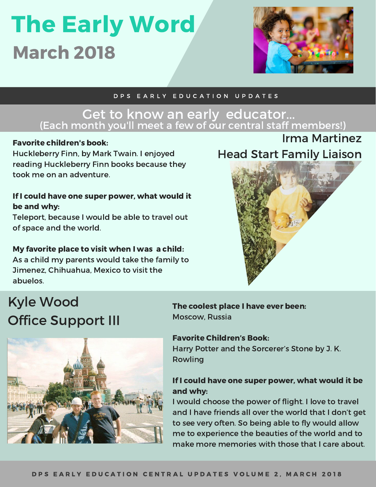# The Early Word March 2018



Irma Martinez

#### D P S E A R L Y E D U C A T I O N U P D A T E S

#### Get to know an early educator... (Each month you'll meet a few of our central staff members!)

#### Favorite children's book:

Huckleberry Finn, by Mark Twain. I enjoyed reading Huckleberry Finn books because they took me on an adventure.

#### If I could have one super power, what would it be and why:

Teleport, because I would be able to travel out of space and the world.

#### My favorite place to visit when I was a child: As a child my parents would take the family to

Jimenez, Chihuahua, Mexico to visit the abuelos.

# Kyle Wood **Office Support III**



#### The coolest place I have ever been: Moscow, Russia

#### Favorite Children's Book:

Harry Potter and the Sorcerer's Stone by J. K. Rowling

#### If I could have one super power, what would it be and why:

I would choose the power of flight. I love to travel and I have friends all over the world that I don't get to see very often. So being able to fly would allow me to experience the beauties of the world and to make more memories with those that I care about.

# Head Start Family Liaison

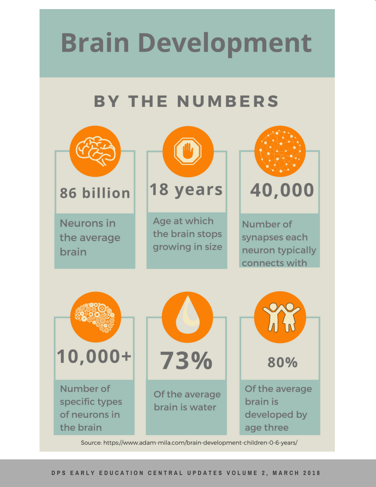# **Brain Development**

### **BY THE NUMBERS**